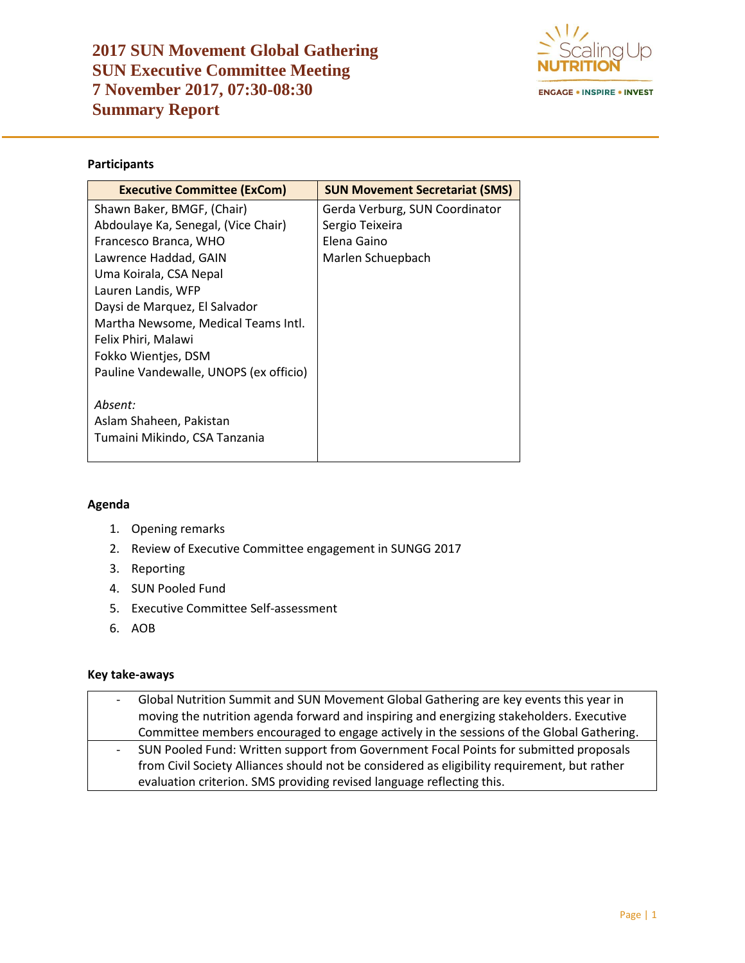

## **Participants**

| <b>Executive Committee (ExCom)</b>     | <b>SUN Movement Secretariat (SMS)</b> |
|----------------------------------------|---------------------------------------|
| Shawn Baker, BMGF, (Chair)             | Gerda Verburg, SUN Coordinator        |
| Abdoulaye Ka, Senegal, (Vice Chair)    | Sergio Teixeira                       |
| Francesco Branca, WHO                  | Elena Gaino                           |
| Lawrence Haddad, GAIN                  | Marlen Schuepbach                     |
| Uma Koirala, CSA Nepal                 |                                       |
| Lauren Landis, WFP                     |                                       |
| Daysi de Marquez, El Salvador          |                                       |
| Martha Newsome, Medical Teams Intl.    |                                       |
| Felix Phiri, Malawi                    |                                       |
| Fokko Wientjes, DSM                    |                                       |
| Pauline Vandewalle, UNOPS (ex officio) |                                       |
|                                        |                                       |
| Absent:                                |                                       |
| Aslam Shaheen, Pakistan                |                                       |
| Tumaini Mikindo, CSA Tanzania          |                                       |
|                                        |                                       |

### **Agenda**

- 1. Opening remarks
- 2. Review of Executive Committee engagement in SUNGG 2017
- 3. Reporting
- 4. SUN Pooled Fund
- 5. Executive Committee Self-assessment
- 6. AOB

### **Key take-aways**

| $\overline{\phantom{a}}$ | Global Nutrition Summit and SUN Movement Global Gathering are key events this year in        |
|--------------------------|----------------------------------------------------------------------------------------------|
|                          | moving the nutrition agenda forward and inspiring and energizing stakeholders. Executive     |
|                          | Committee members encouraged to engage actively in the sessions of the Global Gathering.     |
| $\sim 100$               | SUN Pooled Fund: Written support from Government Focal Points for submitted proposals        |
|                          | from Civil Society Alliances should not be considered as eligibility requirement, but rather |
|                          | evaluation criterion. SMS providing revised language reflecting this.                        |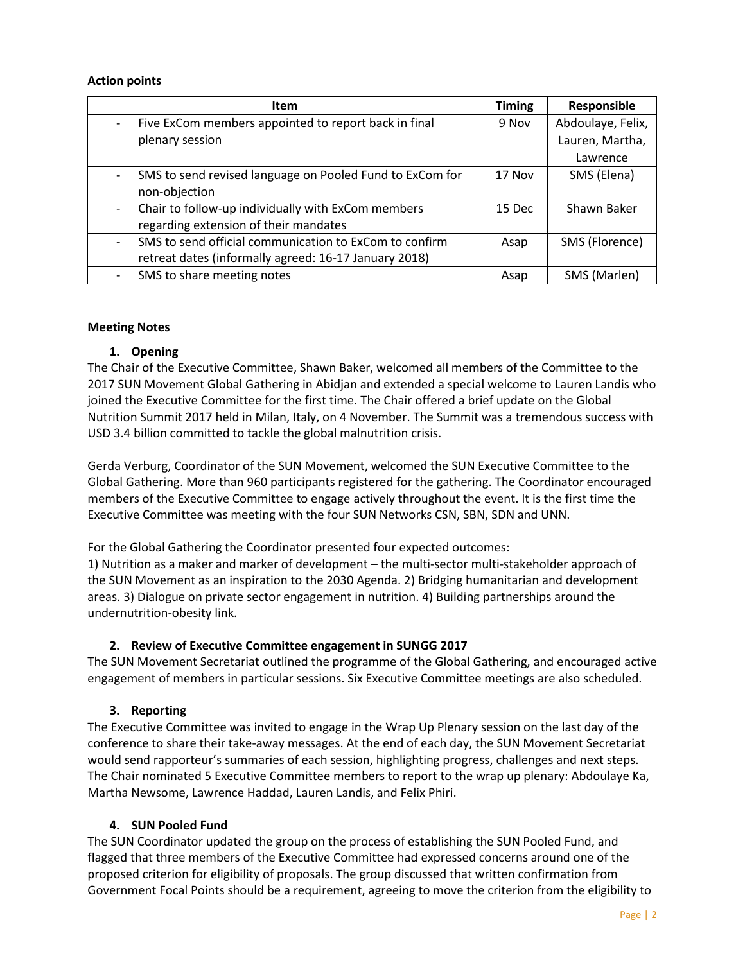#### **Action points**

| <b>Item</b>                                              | <b>Timing</b> | Responsible       |
|----------------------------------------------------------|---------------|-------------------|
| Five ExCom members appointed to report back in final     | 9 Nov         | Abdoulaye, Felix, |
| plenary session                                          |               | Lauren, Martha,   |
|                                                          |               | Lawrence          |
| SMS to send revised language on Pooled Fund to ExCom for | 17 Nov        | SMS (Elena)       |
| non-objection                                            |               |                   |
| Chair to follow-up individually with ExCom members       | 15 Dec        | Shawn Baker       |
| regarding extension of their mandates                    |               |                   |
| SMS to send official communication to ExCom to confirm   | Asap          | SMS (Florence)    |
| retreat dates (informally agreed: 16-17 January 2018)    |               |                   |
| SMS to share meeting notes                               | Asap          | SMS (Marlen)      |

#### **Meeting Notes**

### **1. Opening**

The Chair of the Executive Committee, Shawn Baker, welcomed all members of the Committee to the 2017 SUN Movement Global Gathering in Abidjan and extended a special welcome to Lauren Landis who joined the Executive Committee for the first time. The Chair offered a brief update on the Global Nutrition Summit 2017 held in Milan, Italy, on 4 November. The Summit was a tremendous success with USD 3.4 billion committed to tackle the global malnutrition crisis.

Gerda Verburg, Coordinator of the SUN Movement, welcomed the SUN Executive Committee to the Global Gathering. More than 960 participants registered for the gathering. The Coordinator encouraged members of the Executive Committee to engage actively throughout the event. It is the first time the Executive Committee was meeting with the four SUN Networks CSN, SBN, SDN and UNN.

For the Global Gathering the Coordinator presented four expected outcomes:

1) Nutrition as a maker and marker of development – the multi-sector multi-stakeholder approach of the SUN Movement as an inspiration to the 2030 Agenda. 2) Bridging humanitarian and development areas. 3) Dialogue on private sector engagement in nutrition. 4) Building partnerships around the undernutrition-obesity link.

### **2. Review of Executive Committee engagement in SUNGG 2017**

The SUN Movement Secretariat outlined the programme of the Global Gathering, and encouraged active engagement of members in particular sessions. Six Executive Committee meetings are also scheduled.

### **3. Reporting**

The Executive Committee was invited to engage in the Wrap Up Plenary session on the last day of the conference to share their take-away messages. At the end of each day, the SUN Movement Secretariat would send rapporteur's summaries of each session, highlighting progress, challenges and next steps. The Chair nominated 5 Executive Committee members to report to the wrap up plenary: Abdoulaye Ka, Martha Newsome, Lawrence Haddad, Lauren Landis, and Felix Phiri.

#### **4. SUN Pooled Fund**

The SUN Coordinator updated the group on the process of establishing the SUN Pooled Fund, and flagged that three members of the Executive Committee had expressed concerns around one of the proposed criterion for eligibility of proposals. The group discussed that written confirmation from Government Focal Points should be a requirement, agreeing to move the criterion from the eligibility to